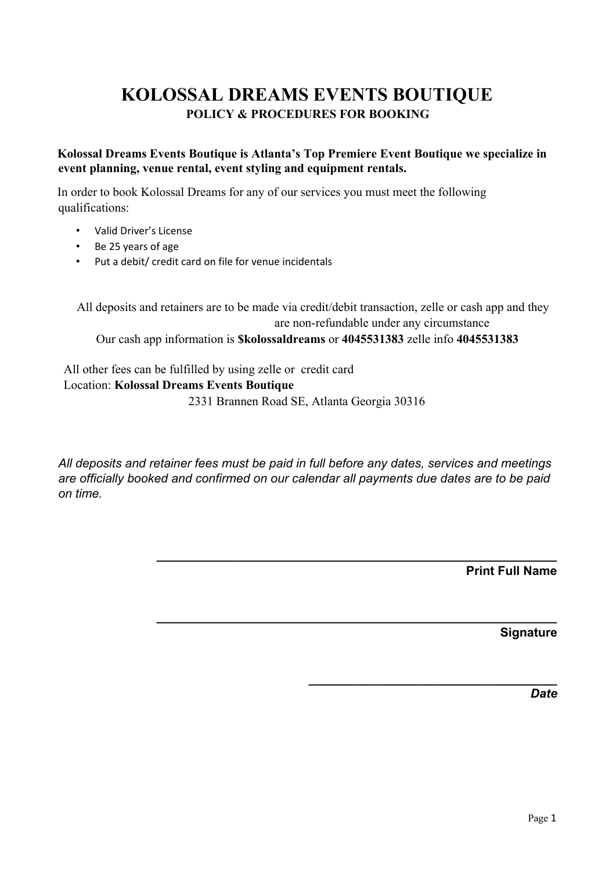## **KOLOSSAL DREAMS EVENTS BOUTIQUE POLICY & PROCEDURES FOR BOOKING**

## **Kolossal Dreams Events Boutique is Atlanta's Top Premiere Event Boutique we specialize in event planning, venue rental, event styling and equipment rentals.**

In order to book Kolossal Dreams for any of our services you must meet the following qualifications:

- Valid Driver's License
- Be 25 years of age
- Put a debit/ credit card on file for venue incidentals

All deposits and retainers are to be made via credit/debit transaction, zelle or cash app and they are non-refundable under any circumstance Our cash app information is **\$kolossaldreams** or **4045531383** zelle info **4045531383**

All other fees can be fulfilled by using zelle or credit card Location: **Kolossal Dreams Events Boutique** 2331 Brannen Road SE, Atlanta Georgia 30316

*All deposits and retainer fees must be paid in full before any dates, services and meetings are officially booked and confirmed on our calendar all payments due dates are to be paid on time.*

**\_\_\_\_\_\_\_\_\_\_\_\_\_\_\_\_\_\_\_\_\_\_\_\_\_\_\_\_\_\_\_\_\_\_\_\_\_\_\_\_\_\_\_\_\_\_\_\_\_\_\_\_\_\_\_\_\_\_**

**\_\_\_\_\_\_\_\_\_\_\_\_\_\_\_\_\_\_\_\_\_\_\_\_\_\_\_\_\_\_\_\_\_\_\_\_\_\_\_\_\_\_\_\_\_\_\_\_\_\_\_\_\_\_\_\_\_\_**

**\_\_\_\_\_\_\_\_\_\_\_\_\_\_\_\_\_\_\_\_\_\_\_\_\_\_\_\_\_\_\_\_\_\_\_\_**

**Print Full Name**

**Signature**

*Date*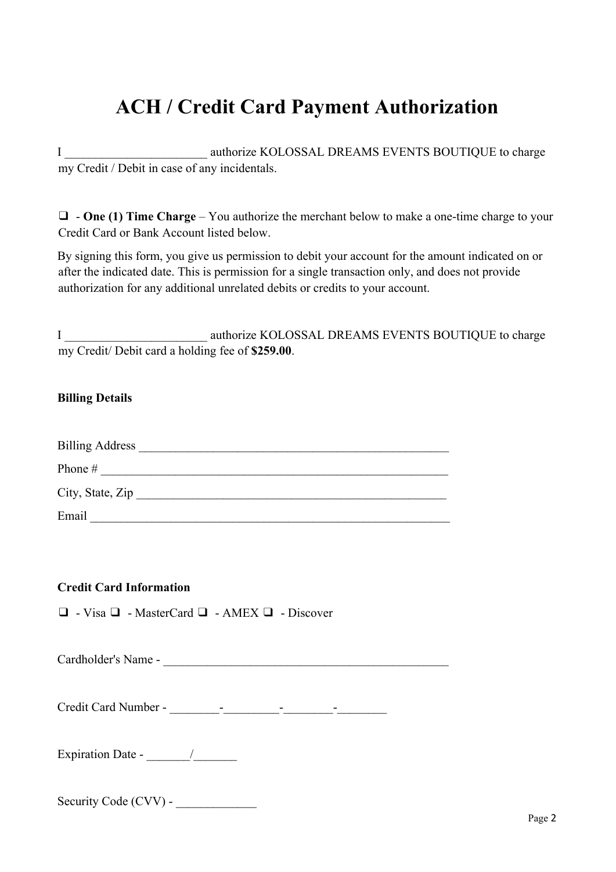# **ACH / Credit Card Payment Authorization**

I \_\_\_\_\_\_\_\_\_\_\_\_\_\_\_\_\_\_\_\_\_\_\_ authorize KOLOSSAL DREAMS EVENTS BOUTIQUE to charge my Credit / Debit in case of any incidentals.

❑ - **One (1) Time Charge** – You authorize the merchant below to make a one-time charge to your Credit Card or Bank Account listed below.

By signing this form, you give us permission to debit your account for the amount indicated on or after the indicated date. This is permission for a single transaction only, and does not provide authorization for any additional unrelated debits or credits to your account.

I authorize KOLOSSAL DREAMS EVENTS BOUTIQUE to charge my Credit/ Debit card a holding fee of **\$259.00**.

## **Billing Details**

| <b>Billing Address</b> |  |
|------------------------|--|
| Phone #                |  |
| City, State, Zip       |  |
| Email                  |  |

## **Credit Card Information**

❑ - Visa ❑ - MasterCard ❑ - AMEX ❑ - Discover

Cardholder's Name - \_\_\_\_\_\_\_\_\_\_\_\_\_\_\_\_\_\_\_\_\_\_\_\_\_\_\_\_\_\_\_\_\_\_\_\_\_\_\_\_\_\_\_\_\_\_

Credit Card Number - \_\_\_\_\_\_\_\_-\_\_\_\_\_\_\_\_\_-\_\_\_\_\_\_\_\_-\_\_\_\_\_\_\_\_

Expiration Date - \_\_\_\_\_\_\_/\_\_\_\_\_\_\_

Security Code (CVV) -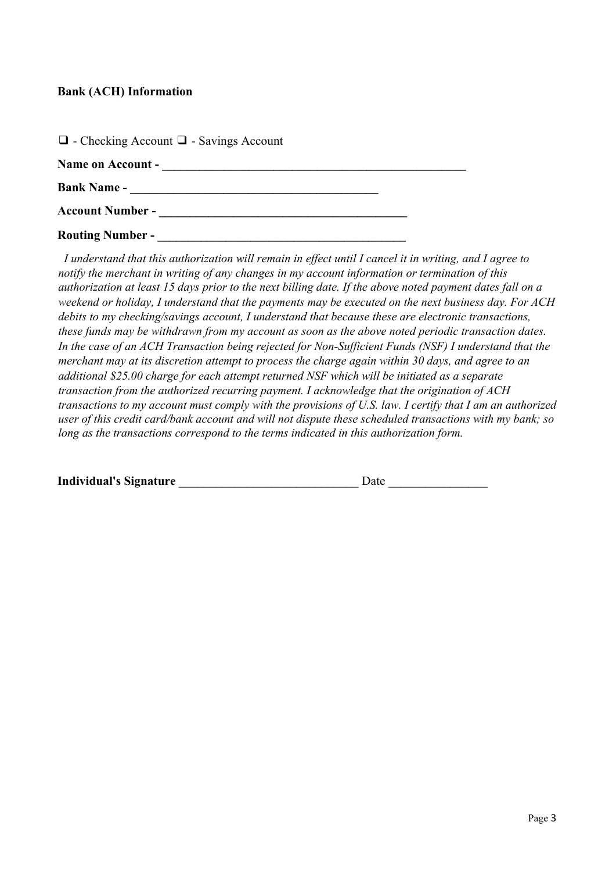## **Bank (ACH) Information**

| $\Box$ - Checking Account $\Box$ - Savings Account |  |
|----------------------------------------------------|--|
| Name on Account -                                  |  |
| <b>Bank Name -</b>                                 |  |
| <b>Account Number -</b>                            |  |
| <b>Routing Number -</b>                            |  |

I understand that this authorization will remain in effect until I cancel it in writing, and I agree to *notify the merchant in writing of any changes in my account information or termination of this* authorization at least 15 days prior to the next billing date. If the above noted payment dates fall on a weekend or holiday, I understand that the payments may be executed on the next business day. For ACH *debits to my checking/savings account, I understand that because these are electronic transactions, these funds may be withdrawn from my account as soon as the above noted periodic transaction dates.* In the case of an ACH Transaction being rejected for Non-Sufficient Funds (NSF) I understand that the *merchant may at its discretion attempt to process the charge again within 30 days, and agree to an additional \$25.00 charge for each attempt returned NSF which will be initiated as a separate transaction from the authorized recurring payment. I acknowledge that the origination of ACH* transactions to my account must comply with the provisions of U.S. law. I certify that I am an authorized *user of this credit card/bank account and will not dispute these scheduled transactions with my bank; so long as the transactions correspond to the terms indicated in this authorization form.*

| <b>Individual's Signature</b> | <b>Date</b> |
|-------------------------------|-------------|
|-------------------------------|-------------|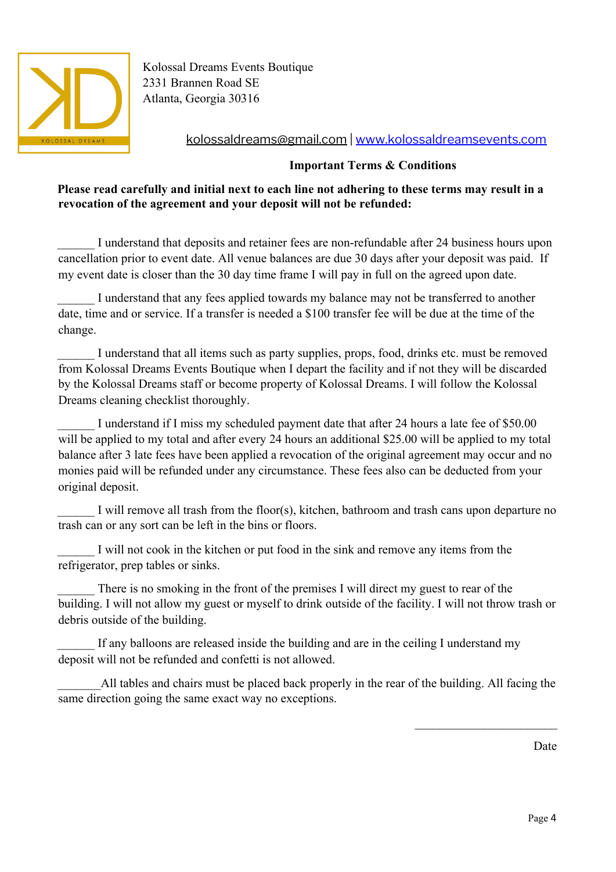

Kolossal Dreams Events Boutique 2331 Brannen Road SE Atlanta, Georgia 30316

kolossaldreams@gmail.com | [www.kolossaldreamsevents.com](http://www.kolossaldreamsevents.com/)

## **Important Terms & Conditions**

## **Please read carefully and initial next to each line not adhering to these terms may result in a revocation of the agreement and your deposit will not be refunded:**

I understand that deposits and retainer fees are non-refundable after 24 business hours upon cancellation prior to event date. All venue balances are due 30 days after your deposit was paid. If my event date is closer than the 30 day time frame I will pay in full on the agreed upon date.

I understand that any fees applied towards my balance may not be transferred to another date, time and or service. If a transfer is needed a \$100 transfer fee will be due at the time of the change.

I understand that all items such as party supplies, props, food, drinks etc. must be removed from Kolossal Dreams Events Boutique when I depart the facility and if not they will be discarded by the Kolossal Dreams staff or become property of Kolossal Dreams. I will follow the Kolossal Dreams cleaning checklist thoroughly.

I understand if I miss my scheduled payment date that after 24 hours a late fee of \$50.00 will be applied to my total and after every 24 hours an additional \$25.00 will be applied to my total balance after 3 late fees have been applied a revocation of the original agreement may occur and no monies paid will be refunded under any circumstance. These fees also can be deducted from your original deposit.

I will remove all trash from the floor(s), kitchen, bathroom and trash cans upon departure no trash can or any sort can be left in the bins or floors.

I will not cook in the kitchen or put food in the sink and remove any items from the refrigerator, prep tables or sinks.

There is no smoking in the front of the premises I will direct my guest to rear of the building. I will not allow my guest or myself to drink outside of the facility. I will not throw trash or debris outside of the building.

If any balloons are released inside the building and are in the ceiling I understand my deposit will not be refunded and confetti is not allowed.

All tables and chairs must be placed back properly in the rear of the building. All facing the same direction going the same exact way no exceptions.

Date

 $\mathcal{L}_\text{max}$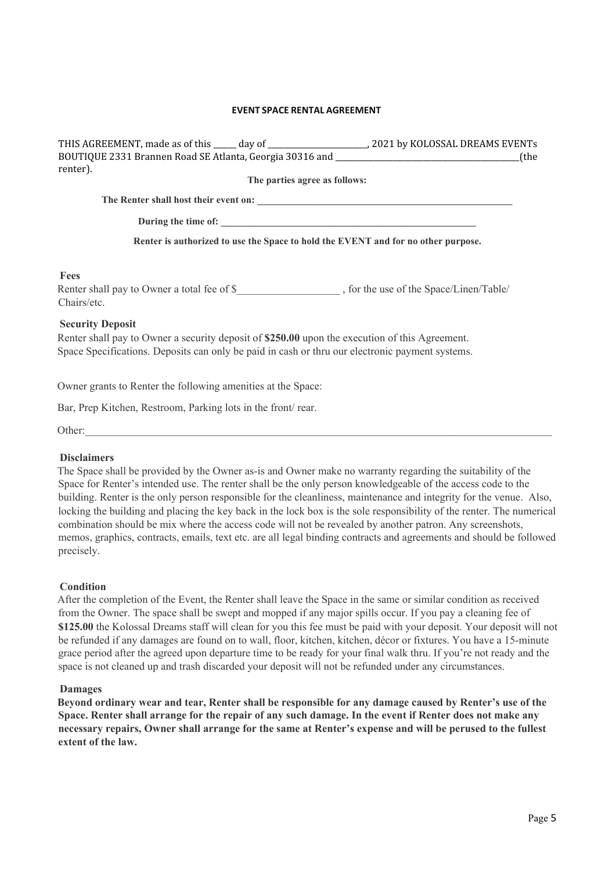#### **EVENT SPACE RENTAL AGREEMENT**

| BOUTIQUE 2331 Brannen Road SE Atlanta, Georgia 30316 and ________________________                                                                                                                 |                               | the)۔                                                                              |
|---------------------------------------------------------------------------------------------------------------------------------------------------------------------------------------------------|-------------------------------|------------------------------------------------------------------------------------|
| renter).                                                                                                                                                                                          |                               |                                                                                    |
|                                                                                                                                                                                                   | The parties agree as follows: |                                                                                    |
|                                                                                                                                                                                                   |                               |                                                                                    |
|                                                                                                                                                                                                   |                               |                                                                                    |
|                                                                                                                                                                                                   |                               | Renter is authorized to use the Space to hold the EVENT and for no other purpose.  |
| Fees                                                                                                                                                                                              |                               |                                                                                    |
| Chairs/etc.                                                                                                                                                                                       |                               | Renter shall pay to Owner a total fee of \$, for the use of the Space/Linen/Table/ |
| <b>Security Deposit</b>                                                                                                                                                                           |                               |                                                                                    |
| Renter shall pay to Owner a security deposit of \$250.00 upon the execution of this Agreement.<br>Space Specifications. Deposits can only be paid in cash or thru our electronic payment systems. |                               |                                                                                    |
|                                                                                                                                                                                                   |                               |                                                                                    |

Owner grants to Renter the following amenities at the Space:

Bar, Prep Kitchen, Restroom, Parking lots in the front/ rear.

| $\Omega$ ther |
|---------------|
|---------------|

#### **Disclaimers**

The Space shall be provided by the Owner as-is and Owner make no warranty regarding the suitability of the Space for Renter's intended use. The renter shall be the only person knowledgeable of the access code to the building. Renter is the only person responsible for the cleanliness, maintenance and integrity for the venue. Also, locking the building and placing the key back in the lock box is the sole responsibility of the renter. The numerical combination should be mix where the access code will not be revealed by another patron. Any screenshots, memos, graphics, contracts, emails, text etc. are all legal binding contracts and agreements and should be followed precisely.

#### **Condition**

After the completion of the Event, the Renter shall leave the Space in the same or similar condition as received from the Owner. The space shall be swept and mopped if any major spills occur. If you pay a cleaning fee of **\$125.00** the Kolossal Dreams staff will clean for you this fee must be paid with your deposit. Your deposit will not be refunded if any damages are found on to wall, floor, kitchen, kitchen, décor or fixtures. You have a 15-minute grace period after the agreed upon departure time to be ready for your final walk thru. If you're not ready and the space is not cleaned up and trash discarded your deposit will not be refunded under any circumstances.

#### **Damages**

**Beyond ordinary wear and tear, Renter shall be responsible for any damage caused by Renter's use of the Space. Renter shall arrange for the repair of any such damage. In the event if Renter does not make any necessary repairs, Owner shall arrange for the same at Renter's expense and will be perused to the fullest extent of the law.**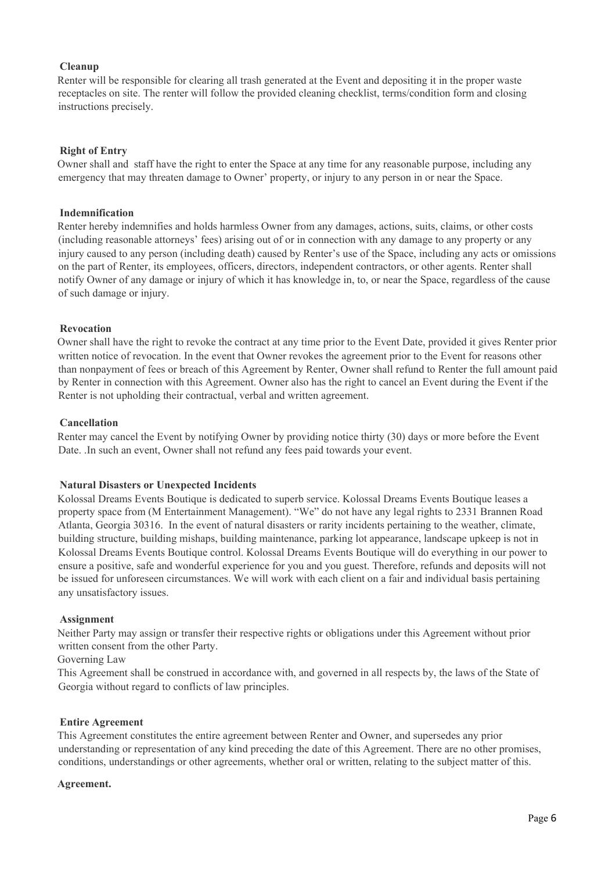#### **Cleanup**

Renter will be responsible for clearing all trash generated at the Event and depositing it in the proper waste receptacles on site. The renter will follow the provided cleaning checklist, terms/condition form and closing instructions precisely.

#### **Right of Entry**

Owner shall and staff have the right to enter the Space at any time for any reasonable purpose, including any emergency that may threaten damage to Owner' property, or injury to any person in or near the Space.

#### **Indemnification**

Renter hereby indemnifies and holds harmless Owner from any damages, actions, suits, claims, or other costs (including reasonable attorneys' fees) arising out of or in connection with any damage to any property or any injury caused to any person (including death) caused by Renter's use of the Space, including any acts or omissions on the part of Renter, its employees, officers, directors, independent contractors, or other agents. Renter shall notify Owner of any damage or injury of which it has knowledge in, to, or near the Space, regardless of the cause of such damage or injury.

#### **Revocation**

Owner shall have the right to revoke the contract at any time prior to the Event Date, provided it gives Renter prior written notice of revocation. In the event that Owner revokes the agreement prior to the Event for reasons other than nonpayment of fees or breach of this Agreement by Renter, Owner shall refund to Renter the full amount paid by Renter in connection with this Agreement. Owner also has the right to cancel an Event during the Event if the Renter is not upholding their contractual, verbal and written agreement.

#### **Cancellation**

Renter may cancel the Event by notifying Owner by providing notice thirty (30) days or more before the Event Date. .In such an event, Owner shall not refund any fees paid towards your event.

#### **Natural Disasters or Unexpected Incidents**

Kolossal Dreams Events Boutique is dedicated to superb service. Kolossal Dreams Events Boutique leases a property space from (M Entertainment Management). "We" do not have any legal rights to 2331 Brannen Road Atlanta, Georgia 30316. In the event of natural disasters or rarity incidents pertaining to the weather, climate, building structure, building mishaps, building maintenance, parking lot appearance, landscape upkeep is not in Kolossal Dreams Events Boutique control. Kolossal Dreams Events Boutique will do everything in our power to ensure a positive, safe and wonderful experience for you and you guest. Therefore, refunds and deposits will not be issued for unforeseen circumstances. We will work with each client on a fair and individual basis pertaining any unsatisfactory issues.

#### **Assignment**

Neither Party may assign or transfer their respective rights or obligations under this Agreement without prior written consent from the other Party.

Governing Law

This Agreement shall be construed in accordance with, and governed in all respects by, the laws of the State of Georgia without regard to conflicts of law principles.

#### **Entire Agreement**

This Agreement constitutes the entire agreement between Renter and Owner, and supersedes any prior understanding or representation of any kind preceding the date of this Agreement. There are no other promises, conditions, understandings or other agreements, whether oral or written, relating to the subject matter of this.

#### **Agreement.**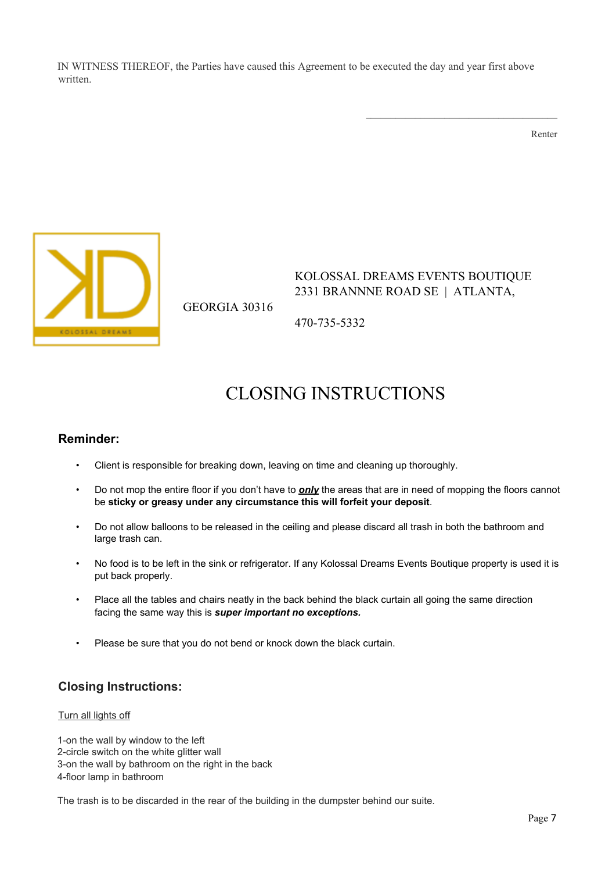IN WITNESS THEREOF, the Parties have caused this Agreement to be executed the day and year first above written.

Renter



GEORGIA 30316

KOLOSSAL DREAMS EVENTS BOUTIQUE 2331 BRANNNE ROAD SE | ATLANTA,

 $\mathcal{L}_\text{max}$  and  $\mathcal{L}_\text{max}$  and  $\mathcal{L}_\text{max}$  and  $\mathcal{L}_\text{max}$ 

470-735-5332

## CLOSING INSTRUCTIONS

### **Reminder:**

- Client is responsible for breaking down, leaving on time and cleaning up thoroughly.
- Do not mop the entire floor if you don't have to *only* the areas that are in need of mopping the floors cannot be **sticky or greasy under any circumstance this will forfeit your deposit**.
- Do not allow balloons to be released in the ceiling and please discard all trash in both the bathroom and large trash can.
- No food is to be left in the sink or refrigerator. If any Kolossal Dreams Events Boutique property is used it is put back properly.
- Place all the tables and chairs neatly in the back behind the black curtain all going the same direction facing the same way this is *super important no exceptions.*
- Please be sure that you do not bend or knock down the black curtain.

## **Closing Instructions:**

#### Turn all lights off

1-on the wall by window to the left 2-circle switch on the white glitter wall 3-on the wall by bathroom on the right in the back 4-floor lamp in bathroom

The trash is to be discarded in the rear of the building in the dumpster behind our suite.